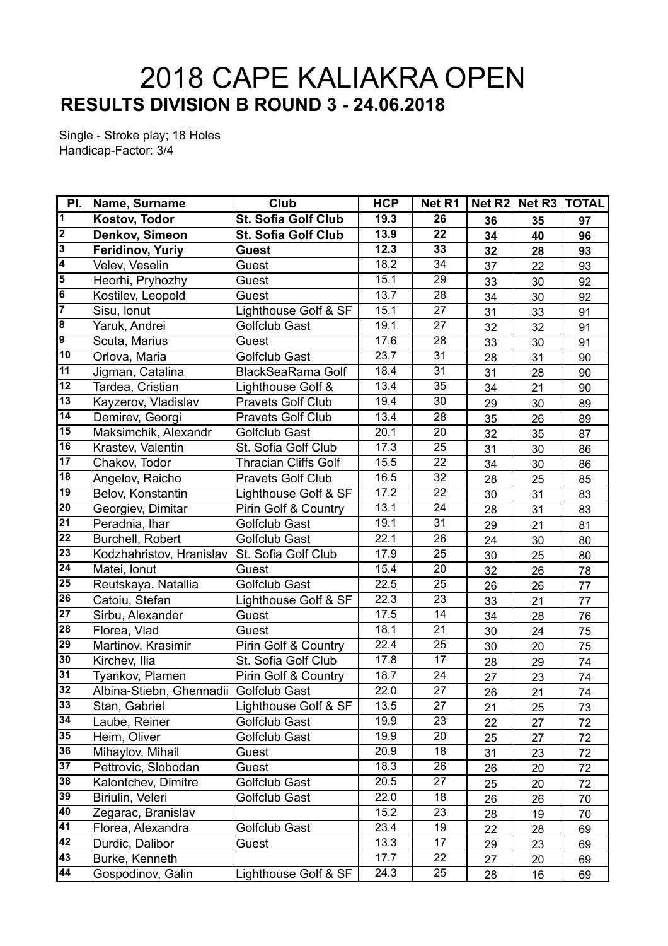## **RESULTS DIVISION B ROUND 3 - 24.06.2018** 2018 CAPE KALIAKRA OPEN

Single - Stroke play; 18 Holes Handicap-Factor: 3/4

| PI.                     | <b>Name, Surname</b>                   | Club                        | <b>HCP</b> | Net R1          |    | Net R2   Net R3   TOTAL |    |
|-------------------------|----------------------------------------|-----------------------------|------------|-----------------|----|-------------------------|----|
| $\overline{\mathbf{1}}$ | <b>Kostov, Todor</b>                   | St. Sofia Golf Club         | 19.3       | $\overline{26}$ | 36 | 35                      | 97 |
| $\overline{2}$          | Denkov, Simeon                         | <b>St. Sofia Golf Club</b>  | 13.9       | 22              | 34 | 40                      | 96 |
| $\overline{3}$          | <b>Feridinov, Yuriy</b>                | Guest                       | 12.3       | 33              | 32 | 28                      | 93 |
| $\overline{4}$          | Velev, Veselin                         | Guest                       | 18,2       | 34              | 37 | 22                      | 93 |
| $\overline{5}$          | Heorhi, Pryhozhy                       | Guest                       | 15.1       | 29              | 33 | 30                      | 92 |
| $\overline{6}$          | Kostilev, Leopold                      | Guest                       | 13.7       | 28              | 34 | 30                      | 92 |
| 7                       | Sisu, Ionut                            | Lighthouse Golf & SF        | 15.1       | 27              | 31 | 33                      | 91 |
| $\overline{\mathbf{g}}$ | Yaruk, Andrei                          | Golfclub Gast               | 19.1       | 27              | 32 | 32                      | 91 |
| 9                       | Scuta, Marius                          | Guest                       | 17.6       | 28              | 33 | 30                      | 91 |
| $\overline{10}$         | Orlova, Maria                          | Golfclub Gast               | 23.7       | 31              | 28 | 31                      | 90 |
| 11                      | Jigman, Catalina                       | <b>BlackSeaRama Golf</b>    | 18.4       | 31              | 31 | 28                      | 90 |
| 12                      | Tardea, Cristian                       | Lighthouse Golf &           | 13.4       | 35              | 34 | 21                      | 90 |
| 13                      | Kayzerov, Vladislav                    | <b>Pravets Golf Club</b>    | 19.4       | 30              | 29 | 30                      | 89 |
| 14                      | Demirev, Georgi                        | <b>Pravets Golf Club</b>    | 13.4       | 28              | 35 | 26                      | 89 |
| 15                      | Maksimchik, Alexandr                   | <b>Golfclub Gast</b>        | 20.1       | 20              | 32 | 35                      | 87 |
| 16                      | Krastev, Valentin                      | St. Sofia Golf Club         | 17.3       | 25              | 31 | 30                      | 86 |
| 17                      | Chakov, Todor                          | <b>Thracian Cliffs Golf</b> | 15.5       | 22              | 34 | 30                      | 86 |
| 18                      | Angelov, Raicho                        | <b>Pravets Golf Club</b>    | 16.5       | 32              | 28 | 25                      | 85 |
| $\overline{19}$         | Belov, Konstantin                      | Lighthouse Golf & SF        | 17.2       | 22              | 30 | 31                      | 83 |
| 20                      | Georgiev, Dimitar                      | Pirin Golf & Country        | 13.1       | $\overline{24}$ | 28 | 31                      | 83 |
| $\overline{21}$         | Peradnia, Ihar                         | <b>Golfclub Gast</b>        | 19.1       | 31              | 29 | 21                      | 81 |
| 22                      | Burchell, Robert                       | <b>Golfclub Gast</b>        | 22.1       | 26              | 24 | 30                      | 80 |
| $\overline{23}$         | Kodzhahristov, Hranislav               | St. Sofia Golf Club         | 17.9       | 25              | 30 | 25                      | 80 |
| $\overline{24}$         | Matei, Ionut                           | Guest                       | 15.4       | 20              | 32 | 26                      | 78 |
| $\overline{25}$         | Reutskaya, Natallia                    | <b>Golfclub Gast</b>        | 22.5       | 25              | 26 | 26                      | 77 |
| 26                      | Catoiu, Stefan                         | Lighthouse Golf & SF        | 22.3       | 23              | 33 | 21                      | 77 |
| $\overline{27}$         | Sirbu, Alexander                       | Guest                       | 17.5       | $\overline{14}$ | 34 | 28                      | 76 |
| $\overline{28}$         | Florea, Vlad                           | Guest                       | 18.1       | 21              | 30 | 24                      | 75 |
| $\overline{29}$         | Martinov, Krasimir                     | Pirin Golf & Country        | 22.4       | 25              | 30 | 20                      | 75 |
| 30                      | Kirchev, Ilia                          | St. Sofia Golf Club         | 17.8       | 17              | 28 | 29                      | 74 |
| 31                      | Tyankov, Plamen                        | Pirin Golf & Country        | 18.7       | 24              | 27 | 23                      | 74 |
| 32                      | Albina-Stiebn, Ghennadii Golfclub Gast |                             | 22.0       | $\overline{27}$ | 26 | 21                      | 74 |
| 33                      | Stan, Gabriel                          | Lighthouse Golf & SF        | 13.5       | 27              | 21 | 25                      | 73 |
| 34                      | Laube, Reiner                          | Golfclub Gast               | 19.9       | 23              | 22 | 27                      | 72 |
| 35                      | Heim, Oliver                           | Golfclub Gast               | 19.9       | 20              | 25 | 27                      | 72 |
| 36                      | Mihaylov, Mihail                       | Guest                       | 20.9       | 18              | 31 | 23                      | 72 |
| 37                      | Pettrovic, Slobodan                    | Guest                       | 18.3       | 26              | 26 | 20                      | 72 |
| 38                      | Kalontchev, Dimitre                    | Golfclub Gast               | 20.5       | 27              | 25 | 20                      | 72 |
| 39                      | Biriulin, Veleri                       | Golfclub Gast               | 22.0       | 18              | 26 | 26                      | 70 |
| 40                      | Zegarac, Branislav                     |                             | 15.2       | 23              | 28 | 19                      | 70 |
| 41                      | Florea, Alexandra                      | Golfclub Gast               | 23.4       | 19              | 22 | 28                      | 69 |
| 42                      | Durdic, Dalibor                        | Guest                       | 13.3       | 17              | 29 | 23                      | 69 |
| 43                      | Burke, Kenneth                         |                             | 17.7       | 22              | 27 | 20                      | 69 |
| 44                      | Gospodinov, Galin                      | Lighthouse Golf & SF        | 24.3       | 25              | 28 | 16                      | 69 |